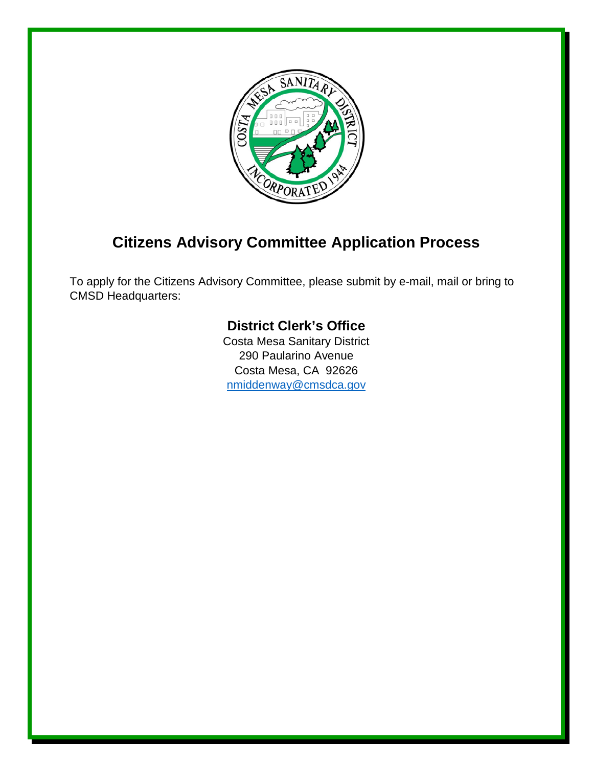

## **Citizens Advisory Committee Application Process**

To apply for the Citizens Advisory Committee, please submit by e-mail, mail or bring to CMSD Headquarters:

## **District Clerk's Office**

Costa Mesa Sanitary District 290 Paularino Avenue Costa Mesa, CA 92626 [nmiddenway@cmsdca.gov](mailto:nmiddenway@cmsdca.gov)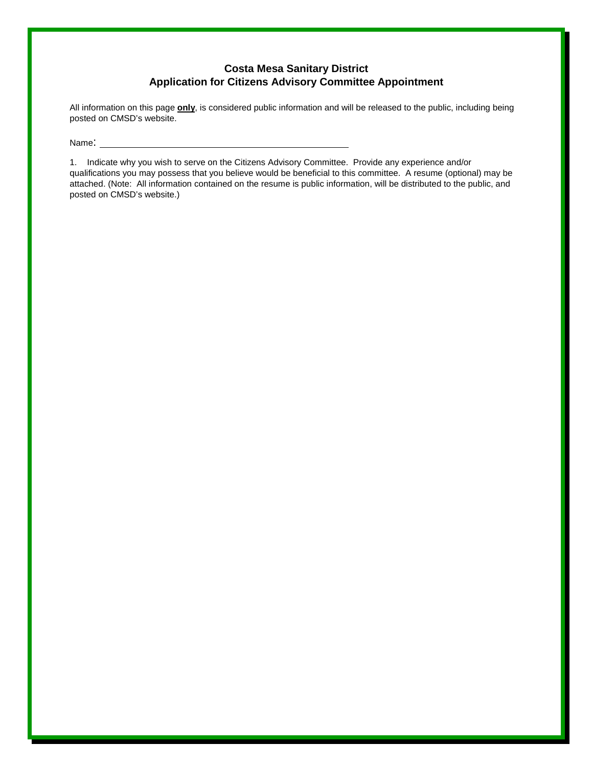## **Costa Mesa Sanitary District Application for Citizens Advisory Committee Appointment**

All information on this page **only**, is considered public information and will be released to the public, including being posted on CMSD's website.

Name: \_

1. Indicate why you wish to serve on the Citizens Advisory Committee. Provide any experience and/or qualifications you may possess that you believe would be beneficial to this committee. A resume (optional) may be attached. (Note: All information contained on the resume is public information, will be distributed to the public, and posted on CMSD's website.)